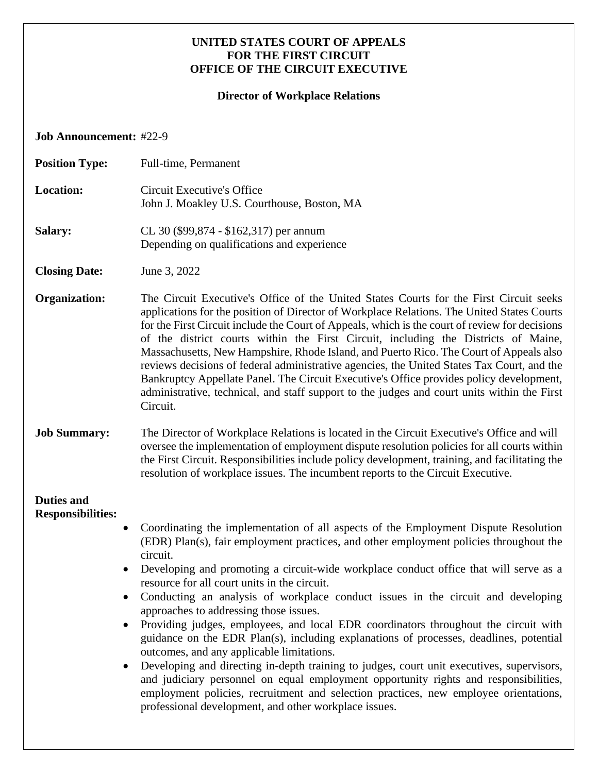### **UNITED STATES COURT OF APPEALS FOR THE FIRST CIRCUIT OFFICE OF THE CIRCUIT EXECUTIVE**

# **Director of Workplace Relations**

**Job Announcement:** #22-9

| <b>Position Type:</b>                                                   | Full-time, Permanent                                                                                                                                                                                                                                                                                                                                                                                                                                                                                                                                                                                                                                                                                                                                                                                                                                                                                                                                                                                                                 |
|-------------------------------------------------------------------------|--------------------------------------------------------------------------------------------------------------------------------------------------------------------------------------------------------------------------------------------------------------------------------------------------------------------------------------------------------------------------------------------------------------------------------------------------------------------------------------------------------------------------------------------------------------------------------------------------------------------------------------------------------------------------------------------------------------------------------------------------------------------------------------------------------------------------------------------------------------------------------------------------------------------------------------------------------------------------------------------------------------------------------------|
| <b>Location:</b>                                                        | Circuit Executive's Office<br>John J. Moakley U.S. Courthouse, Boston, MA                                                                                                                                                                                                                                                                                                                                                                                                                                                                                                                                                                                                                                                                                                                                                                                                                                                                                                                                                            |
| <b>Salary:</b>                                                          | CL 30 (\$99,874 - \$162,317) per annum<br>Depending on qualifications and experience                                                                                                                                                                                                                                                                                                                                                                                                                                                                                                                                                                                                                                                                                                                                                                                                                                                                                                                                                 |
| <b>Closing Date:</b>                                                    | June 3, 2022                                                                                                                                                                                                                                                                                                                                                                                                                                                                                                                                                                                                                                                                                                                                                                                                                                                                                                                                                                                                                         |
| Organization:                                                           | The Circuit Executive's Office of the United States Courts for the First Circuit seeks<br>applications for the position of Director of Workplace Relations. The United States Courts<br>for the First Circuit include the Court of Appeals, which is the court of review for decisions<br>of the district courts within the First Circuit, including the Districts of Maine,<br>Massachusetts, New Hampshire, Rhode Island, and Puerto Rico. The Court of Appeals also<br>reviews decisions of federal administrative agencies, the United States Tax Court, and the<br>Bankruptcy Appellate Panel. The Circuit Executive's Office provides policy development,<br>administrative, technical, and staff support to the judges and court units within the First<br>Circuit.                                                                                                                                                                                                                                                           |
| <b>Job Summary:</b>                                                     | The Director of Workplace Relations is located in the Circuit Executive's Office and will<br>oversee the implementation of employment dispute resolution policies for all courts within<br>the First Circuit. Responsibilities include policy development, training, and facilitating the<br>resolution of workplace issues. The incumbent reports to the Circuit Executive.                                                                                                                                                                                                                                                                                                                                                                                                                                                                                                                                                                                                                                                         |
| <b>Duties and</b><br><b>Responsibilities:</b><br>$\bullet$<br>$\bullet$ | Coordinating the implementation of all aspects of the Employment Dispute Resolution<br>(EDR) Plan(s), fair employment practices, and other employment policies throughout the<br>circuit.<br>Developing and promoting a circuit-wide workplace conduct office that will serve as a<br>resource for all court units in the circuit.<br>Conducting an analysis of workplace conduct issues in the circuit and developing<br>approaches to addressing those issues.<br>Providing judges, employees, and local EDR coordinators throughout the circuit with<br>guidance on the EDR Plan(s), including explanations of processes, deadlines, potential<br>outcomes, and any applicable limitations.<br>Developing and directing in-depth training to judges, court unit executives, supervisors,<br>and judiciary personnel on equal employment opportunity rights and responsibilities,<br>employment policies, recruitment and selection practices, new employee orientations,<br>professional development, and other workplace issues. |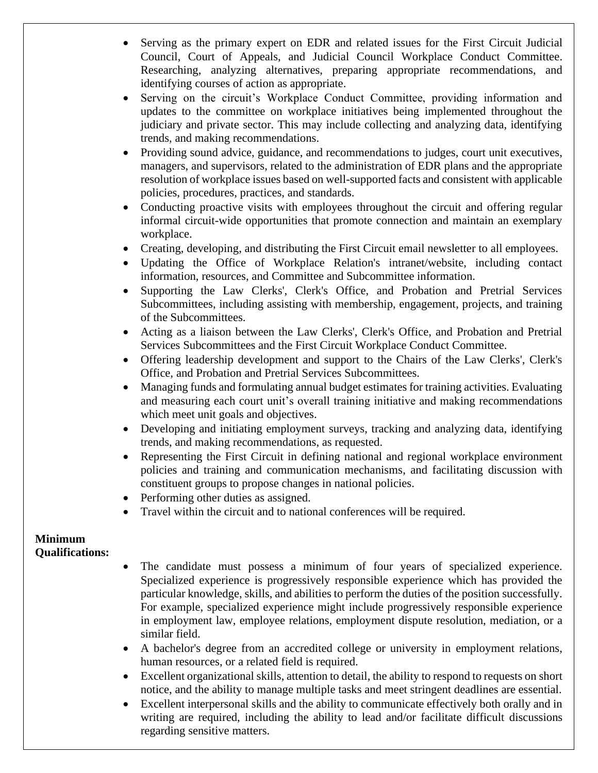- Serving as the primary expert on EDR and related issues for the First Circuit Judicial Council, Court of Appeals, and Judicial Council Workplace Conduct Committee. Researching, analyzing alternatives, preparing appropriate recommendations, and identifying courses of action as appropriate.
- Serving on the circuit's Workplace Conduct Committee, providing information and updates to the committee on workplace initiatives being implemented throughout the judiciary and private sector. This may include collecting and analyzing data, identifying trends, and making recommendations.
- Providing sound advice, guidance, and recommendations to judges, court unit executives, managers, and supervisors, related to the administration of EDR plans and the appropriate resolution of workplace issues based on well-supported facts and consistent with applicable policies, procedures, practices, and standards.
- Conducting proactive visits with employees throughout the circuit and offering regular informal circuit-wide opportunities that promote connection and maintain an exemplary workplace.
- Creating, developing, and distributing the First Circuit email newsletter to all employees.
- Updating the Office of Workplace Relation's intranet/website, including contact information, resources, and Committee and Subcommittee information.
- Supporting the Law Clerks', Clerk's Office, and Probation and Pretrial Services Subcommittees, including assisting with membership, engagement, projects, and training of the Subcommittees.
- Acting as a liaison between the Law Clerks', Clerk's Office, and Probation and Pretrial Services Subcommittees and the First Circuit Workplace Conduct Committee.
- Offering leadership development and support to the Chairs of the Law Clerks', Clerk's Office, and Probation and Pretrial Services Subcommittees.
- Managing funds and formulating annual budget estimates for training activities. Evaluating and measuring each court unit's overall training initiative and making recommendations which meet unit goals and objectives.
- Developing and initiating employment surveys, tracking and analyzing data, identifying trends, and making recommendations, as requested.
- Representing the First Circuit in defining national and regional workplace environment policies and training and communication mechanisms, and facilitating discussion with constituent groups to propose changes in national policies.
- Performing other duties as assigned.
- Travel within the circuit and to national conferences will be required.

### **Minimum Qualifications:**

- The candidate must possess a minimum of four years of specialized experience. Specialized experience is progressively responsible experience which has provided the particular knowledge, skills, and abilities to perform the duties of the position successfully. For example, specialized experience might include progressively responsible experience in employment law, employee relations, employment dispute resolution, mediation, or a similar field.
- A bachelor's degree from an accredited college or university in employment relations, human resources, or a related field is required.
- Excellent organizational skills, attention to detail, the ability to respond to requests on short notice, and the ability to manage multiple tasks and meet stringent deadlines are essential.
- Excellent interpersonal skills and the ability to communicate effectively both orally and in writing are required, including the ability to lead and/or facilitate difficult discussions regarding sensitive matters.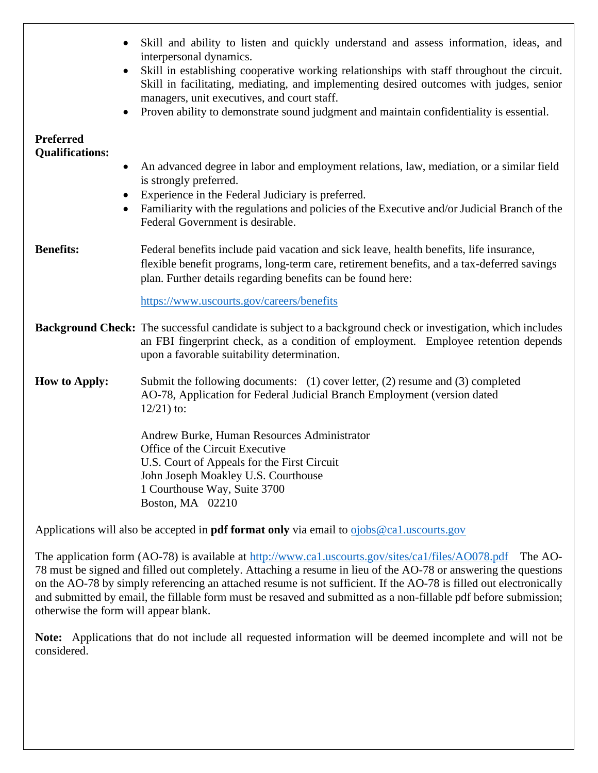|                                            | Skill and ability to listen and quickly understand and assess information, ideas, and<br>interpersonal dynamics.                                                                                                                                     |
|--------------------------------------------|------------------------------------------------------------------------------------------------------------------------------------------------------------------------------------------------------------------------------------------------------|
| $\bullet$                                  | Skill in establishing cooperative working relationships with staff throughout the circuit.<br>Skill in facilitating, mediating, and implementing desired outcomes with judges, senior<br>managers, unit executives, and court staff.                 |
|                                            | Proven ability to demonstrate sound judgment and maintain confidentiality is essential.                                                                                                                                                              |
| <b>Preferred</b><br><b>Qualifications:</b> |                                                                                                                                                                                                                                                      |
| $\bullet$                                  | An advanced degree in labor and employment relations, law, mediation, or a similar field<br>is strongly preferred.                                                                                                                                   |
|                                            | Experience in the Federal Judiciary is preferred.                                                                                                                                                                                                    |
|                                            | Familiarity with the regulations and policies of the Executive and/or Judicial Branch of the<br>Federal Government is desirable.                                                                                                                     |
| <b>Benefits:</b>                           | Federal benefits include paid vacation and sick leave, health benefits, life insurance,<br>flexible benefit programs, long-term care, retirement benefits, and a tax-deferred savings<br>plan. Further details regarding benefits can be found here: |
|                                            | https://www.uscourts.gov/careers/benefits                                                                                                                                                                                                            |
|                                            | Background Check: The successful candidate is subject to a background check or investigation, which includes<br>an FBI fingerprint check, as a condition of employment. Employee retention depends<br>upon a favorable suitability determination.    |
| <b>How to Apply:</b>                       | Submit the following documents: (1) cover letter, (2) resume and (3) completed<br>AO-78, Application for Federal Judicial Branch Employment (version dated<br>$12/21$ ) to:                                                                          |
|                                            | Andrew Burke, Human Resources Administrator<br>Office of the Circuit Executive<br>U.S. Court of Appeals for the First Circuit<br>John Joseph Moakley U.S. Courthouse<br>1 Courthouse Way, Suite 3700<br>Boston, MA 02210                             |

Applications will also be accepted in **pdf format only** via email to **o**jobs@ca1.uscourts.gov

The application form (AO-78) is available at<http://www.ca1.uscourts.gov/sites/ca1/files/AO078.pdf>The AO-78 must be signed and filled out completely. Attaching a resume in lieu of the AO-78 or answering the questions on the AO-78 by simply referencing an attached resume is not sufficient. If the AO-78 is filled out electronically and submitted by email, the fillable form must be resaved and submitted as a non-fillable pdf before submission; otherwise the form will appear blank.

**Note:** Applications that do not include all requested information will be deemed incomplete and will not be considered.